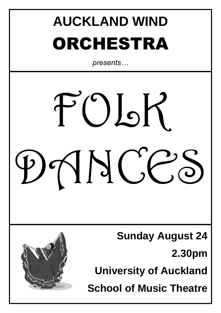# **AUCKLAND WIND**  ORCHESTRA

*presents…*



**Sunday August 24**

**2.30pm**

**University of Auckland**

**School of Music Theatre**

![](_page_0_Picture_7.jpeg)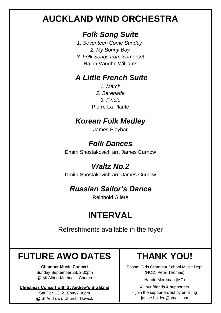# **AUCKLAND WIND ORCHESTRA**

### *Folk Song Suite*

- *1. Seventeen Come Sunday 2. My Bonny Boy*
- *3. Folk Songs from Somerset* Ralph Vaughn Williams

#### *A Little French Suite*

*1. March 2. Serenade 3. Finale* Pierre La Plante

### *Korean Folk Medley*

James Ployhar

### *Folk Dances*

Dmitri Shostakovich arr. James Curnow

## *Waltz No.2*

Dmitri Shostakovich arr. James Curnow

## *Russian Sailor's Dance*

Reinhold Glière

# **INTERVAL**

Refreshments available in the foyer

# **FUTURE AWO DATES**

**Chamber Music Concert**

Sunday September 28, 2.30pm @ Mt Albert Methodist Church

#### **Christmas Concert with St Andrew's Big Band**

Sat Dec 13, 2.30pm/7.00pm @ St Andrew's Church, Howick

# **THANK YOU!**

Epsom Girls Grammar School Music Dept (HOD: Peter Thomas)

Harold Merriman (MC)

All our friends & supporters – join the supporters list by emailing janine.holden@gmail.com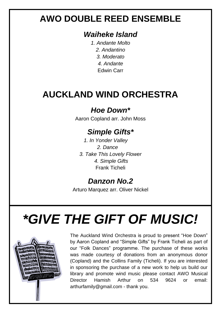# **AWO DOUBLE REED ENSEMBLE**

#### *Waiheke Island*

*1. Andante Molto 2. Andantino 3. Moderato 4. Andante* Edwin Carr

# **AUCKLAND WIND ORCHESTRA**

### *Hoe Down\**

Aaron Copland arr. John Moss

### *Simple Gifts\**

*1. In Yonder Valley 2. Dance 3. Take This Lovely Flower 4. Simple Gifts* Frank Ticheli

### *Danzon No.2*

Arturo Marquez arr. Oliver Nickel

# *\*GIVE THE GIFT OF MUSIC!*

![](_page_2_Picture_11.jpeg)

The Auckland Wind Orchestra is proud to present "Hoe Down" by Aaron Copland and "Simple Gifts" by Frank Ticheli as part of our "Folk Dances" programme. The purchase of these works was made courtesy of donations from an anonymous donor (Copland) and the Collins Family (Ticheli). If you are interested in sponsoring the purchase of a new work to help us build our library and promote wind music please contact AWO Musical Director Hamish Arthur on 534 9624 or email: arthurfamily@gmail.com - thank you.